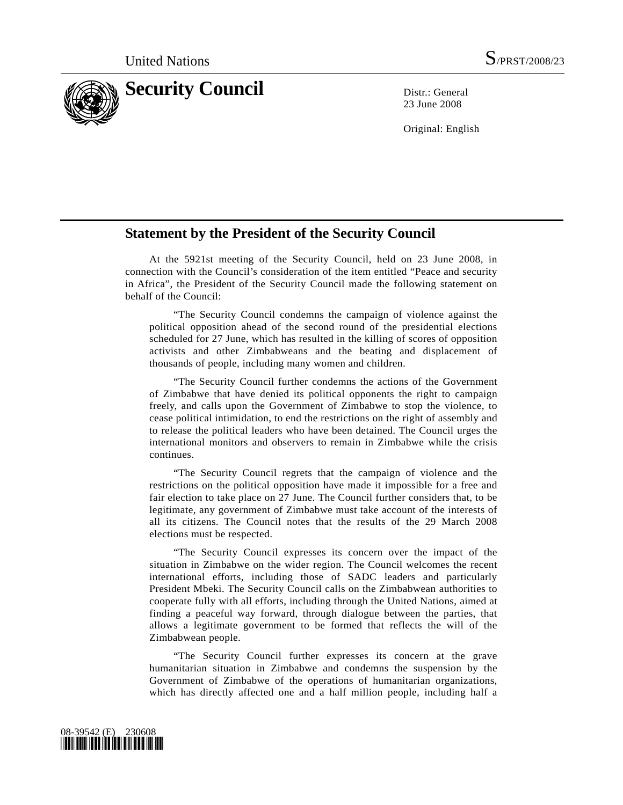

23 June 2008

Original: English

## **Statement by the President of the Security Council**

 At the 5921st meeting of the Security Council, held on 23 June 2008, in connection with the Council's consideration of the item entitled "Peace and security in Africa", the President of the Security Council made the following statement on behalf of the Council:

 "The Security Council condemns the campaign of violence against the political opposition ahead of the second round of the presidential elections scheduled for 27 June, which has resulted in the killing of scores of opposition activists and other Zimbabweans and the beating and displacement of thousands of people, including many women and children.

 "The Security Council further condemns the actions of the Government of Zimbabwe that have denied its political opponents the right to campaign freely, and calls upon the Government of Zimbabwe to stop the violence, to cease political intimidation, to end the restrictions on the right of assembly and to release the political leaders who have been detained. The Council urges the international monitors and observers to remain in Zimbabwe while the crisis continues.

 "The Security Council regrets that the campaign of violence and the restrictions on the political opposition have made it impossible for a free and fair election to take place on 27 June. The Council further considers that, to be legitimate, any government of Zimbabwe must take account of the interests of all its citizens. The Council notes that the results of the 29 March 2008 elections must be respected.

 "The Security Council expresses its concern over the impact of the situation in Zimbabwe on the wider region. The Council welcomes the recent international efforts, including those of SADC leaders and particularly President Mbeki. The Security Council calls on the Zimbabwean authorities to cooperate fully with all efforts, including through the United Nations, aimed at finding a peaceful way forward, through dialogue between the parties, that allows a legitimate government to be formed that reflects the will of the Zimbabwean people.

 "The Security Council further expresses its concern at the grave humanitarian situation in Zimbabwe and condemns the suspension by the Government of Zimbabwe of the operations of humanitarian organizations, which has directly affected one and a half million people, including half a